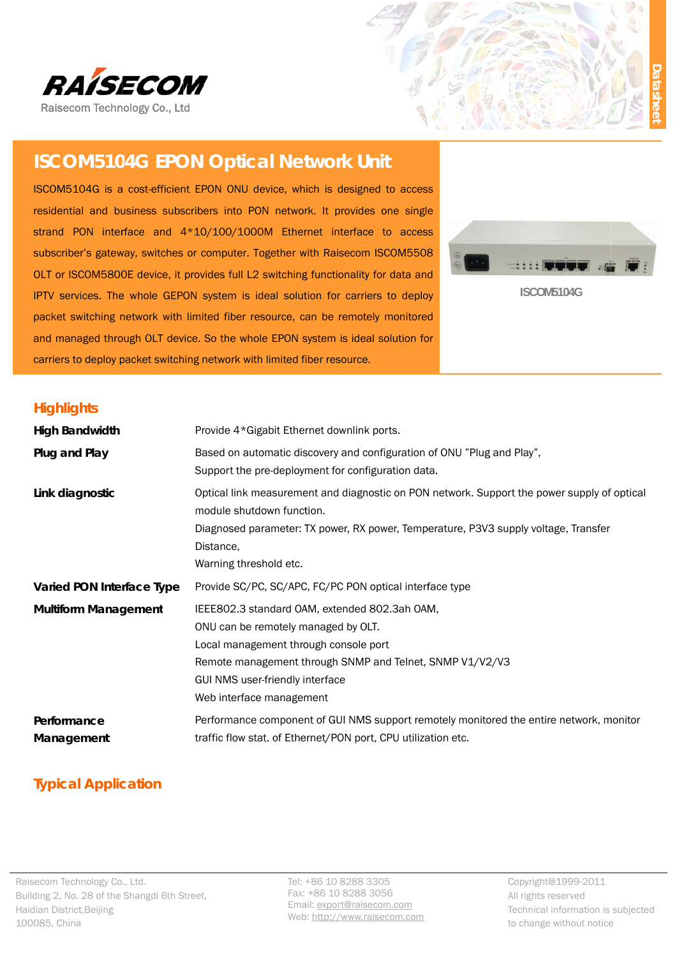



# **ISCOM5104G EPON Optical Network Unit**

ISCOM5104G is a cost-efficient EPON ONU device, which is designed to access residential and business subscribers into PON network. It provides one single strand PON interface and  $4*10/100/1000M$  Ethernet interface to access subscriber's gateway, switches or computer. Together with Raisecom ISCOM5508 OLT or ISCOM5800E device, it provides full L2 switching functionality for data and subscriber's gateway, switches or computer. Together with Raisecom ISCOM5508<br>OLT or ISCOM5800E device, it provides full L2 switching functionality for data and<br>IPTV services. The whole GEPON system is ideal solution for ca packet switching network with limited fiber resource, can be remotely monitored packet switching network with limited fiber resource, can be remotely monitored<br>and managed through OLT device. So the whole EPON system is ideal solution for carriers to deploy packet switching network with limited fiber resource.



**ISCOM M5104G** 

#### **High hlights**

| <b>High Bandwidth</b>                                                                                                        | Provide 4*Gigabit Ethernet downlink ports.                                                                                                                                                                                                               |                                                                                                              |  |
|------------------------------------------------------------------------------------------------------------------------------|----------------------------------------------------------------------------------------------------------------------------------------------------------------------------------------------------------------------------------------------------------|--------------------------------------------------------------------------------------------------------------|--|
| Plug and Play                                                                                                                | Based on automatic discovery and configuration of ONU "Plug and Play",<br>Support the pre-deployment for configuration data.                                                                                                                             |                                                                                                              |  |
| Link diagnostic                                                                                                              | Optical link measurement and diagnostic on PON network. Support the power supply of optical<br>module shutdown function.<br>Diagnosed parameter: TX power, RX power, Temperature, P3V3 supply voltage, Transfer<br>Distance.<br>Warning threshold etc.   |                                                                                                              |  |
| Varied PON Interface Type                                                                                                    | Provide SC/PC, SC/APC, FC/PC PON optical interface type                                                                                                                                                                                                  |                                                                                                              |  |
| <b>Multiform Management</b>                                                                                                  | IEEE802.3 standard OAM, extended 802.3ah OAM,<br>ONU can be remotely managed by OLT.<br>Local management through console port<br>Remote management through SNMP and Telnet, SNMP V1/V2/V3<br>GUI NMS user-friendly interface<br>Web interface management |                                                                                                              |  |
| Performance<br>Management                                                                                                    | Performance component of GUI NMS support remotely monitored the entire network, monitor<br>traffic flow stat. of Ethernet/PON port, CPU utilization etc.                                                                                                 |                                                                                                              |  |
| <b>Typical Application</b>                                                                                                   |                                                                                                                                                                                                                                                          |                                                                                                              |  |
| Raisecom Technology Co., Ltd.<br>Building 2, No. 28 of the Shangdi 6th Street,<br>laidian District, Beijing<br>L00085, China | Tel: +86 10 8288 3305<br>Fax: +86 10 8288 3056<br>Email: export@raisecom.com<br>Web: http://www.raisecom.com                                                                                                                                             | Copyright@1999-2011<br>All rights reserved<br>Technical information is subjected<br>to change without notice |  |

## **Typical Application**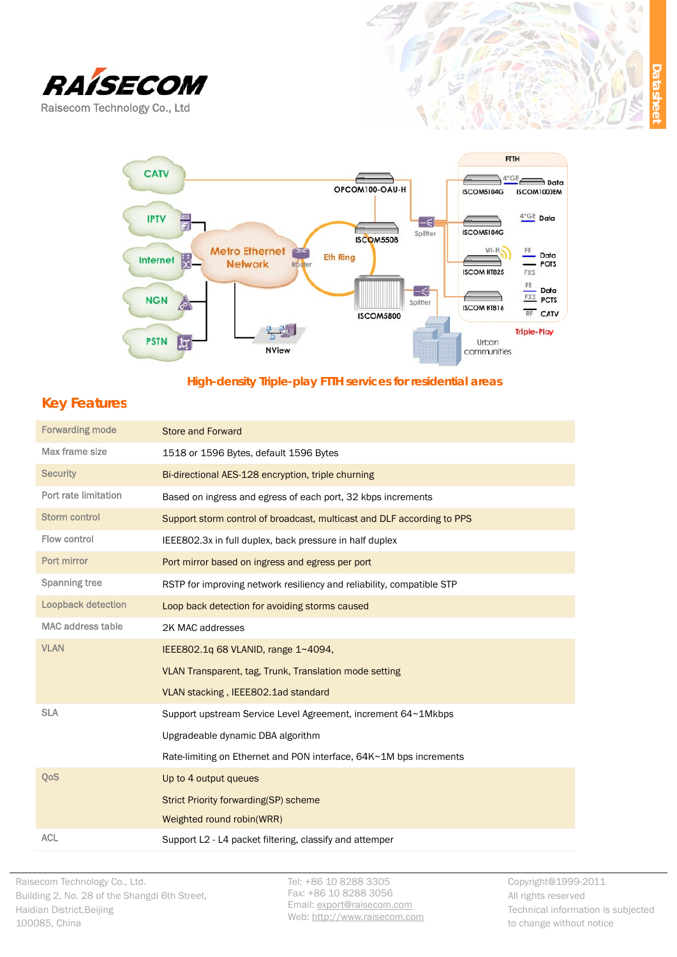



#### High-density Triple-play FTTH services for residential areas

#### **Key Features**

| <b>Forwarding mode</b>    | <b>Store and Forward</b>                                               |
|---------------------------|------------------------------------------------------------------------|
| Max frame size            | 1518 or 1596 Bytes, default 1596 Bytes                                 |
| <b>Security</b>           | Bi-directional AES-128 encryption, triple churning                     |
| Port rate limitation      | Based on ingress and egress of each port, 32 kbps increments           |
| <b>Storm control</b>      | Support storm control of broadcast, multicast and DLF according to PPS |
| Flow control              | IEEE802.3x in full duplex, back pressure in half duplex                |
| Port mirror               | Port mirror based on ingress and egress per port                       |
| <b>Spanning tree</b>      | RSTP for improving network resiliency and reliability, compatible STP  |
| <b>Loopback detection</b> | Loop back detection for avoiding storms caused                         |
| <b>MAC address table</b>  | 2K MAC addresses                                                       |
| <b>VLAN</b>               | IEEE802.1g 68 VLANID, range 1~4094,                                    |
|                           | VLAN Transparent, tag, Trunk, Translation mode setting                 |
|                           | VLAN stacking, IEEE802.1ad standard                                    |
| <b>SLA</b>                | Support upstream Service Level Agreement, increment 64~1Mkbps          |
|                           | Upgradeable dynamic DBA algorithm                                      |
|                           | Rate-limiting on Ethernet and PON interface, 64K~1M bps increments     |
| QoS                       | Up to 4 output queues                                                  |
|                           | <b>Strict Priority forwarding(SP) scheme</b>                           |
|                           | Weighted round robin(WRR)                                              |
| <b>ACL</b>                | Support L2 - L4 packet filtering, classify and attemper                |

Tel: +86 10 8288 3305 Fax: +86 10 8288 3056 Email: export@raisecom.com Web: http://www.raisecom.com Copyright@1999-2011 All rights reserved Technical information is subjected to change without notice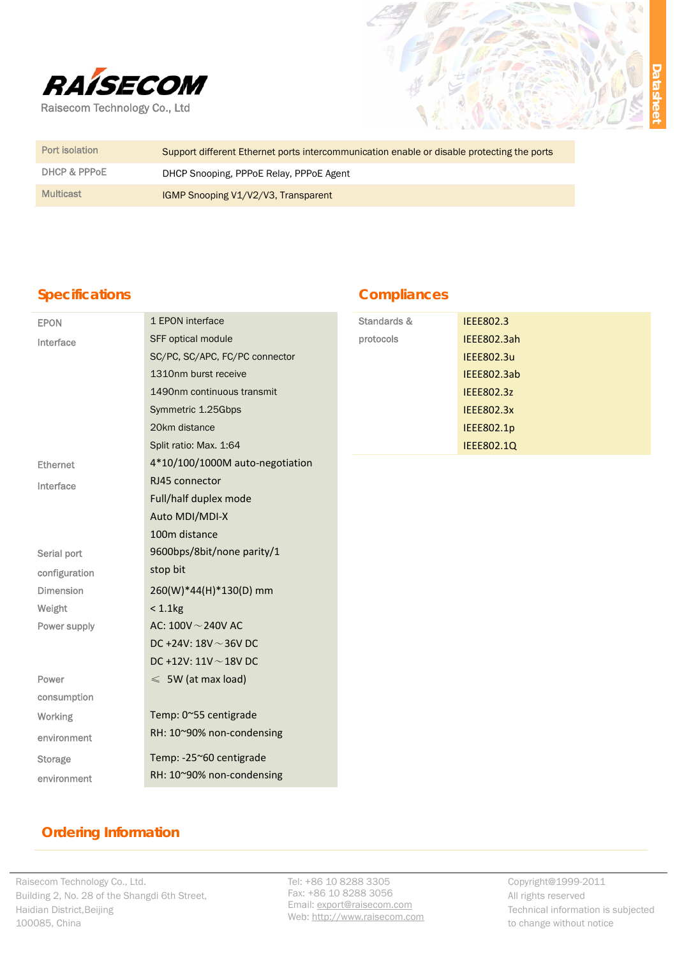

| Port isolation   | Support different Ethernet ports intercommunication enable or disable protecting the ports |
|------------------|--------------------------------------------------------------------------------------------|
| DHCP & PPPOE     | DHCP Snooping, PPPoE Relay, PPPoE Agent                                                    |
| <b>Multicast</b> | IGMP Snooping V1/V2/V3, Transparent                                                        |

## **Specifications**

#### **Compliances**

| <b>EPON</b>      | 1 EPON interface                | Standards & | <b>IEEE802.3</b>  |
|------------------|---------------------------------|-------------|-------------------|
| Interface        | SFF optical module              | protocols   | IEEE802.3ah       |
|                  | SC/PC, SC/APC, FC/PC connector  |             | <b>IEEE802.3u</b> |
|                  | 1310nm burst receive            |             | IEEE802.3ab       |
|                  | 1490nm continuous transmit      |             | <b>IEEE802.3z</b> |
|                  | Symmetric 1.25Gbps              |             | <b>IEEE802.3x</b> |
|                  | 20km distance                   |             | IEEE802.1p        |
|                  | Split ratio: Max. 1:64          |             | <b>IEEE802.1Q</b> |
| <b>Ethernet</b>  | 4*10/100/1000M auto-negotiation |             |                   |
| Interface        | RJ45 connector                  |             |                   |
|                  | Full/half duplex mode           |             |                   |
|                  | Auto MDI/MDI-X                  |             |                   |
|                  | 100m distance                   |             |                   |
| Serial port      | 9600bps/8bit/none parity/1      |             |                   |
| configuration    | stop bit                        |             |                   |
| <b>Dimension</b> | 260(W)*44(H)*130(D) mm          |             |                   |
| Weight           | $< 1.1$ $kg$                    |             |                   |
| Power supply     | AC: $100V - 240V$ AC            |             |                   |
|                  | DC +24V: $18V \sim 36V$ DC      |             |                   |
|                  | DC +12V: $11V \sim 18V$ DC      |             |                   |
| Power            | $\leqslant$ 5W (at max load)    |             |                   |
| consumption      |                                 |             |                   |
| Working          | Temp: 0~55 centigrade           |             |                   |
| environment      | RH: 10~90% non-condensing       |             |                   |
| <b>Storage</b>   | Temp: -25~60 centigrade         |             |                   |
| environment      | RH: 10~90% non-condensing       |             |                   |

## **Ordering Information**

Tel: +86 10 8288 3305 Fax: +86 10 8288 3056 Email: export@raisecom.com Web: http://www.raisecom.com Copyright@1999-2011 All rights reserved Technical information is subjected to change without notice

). Ja